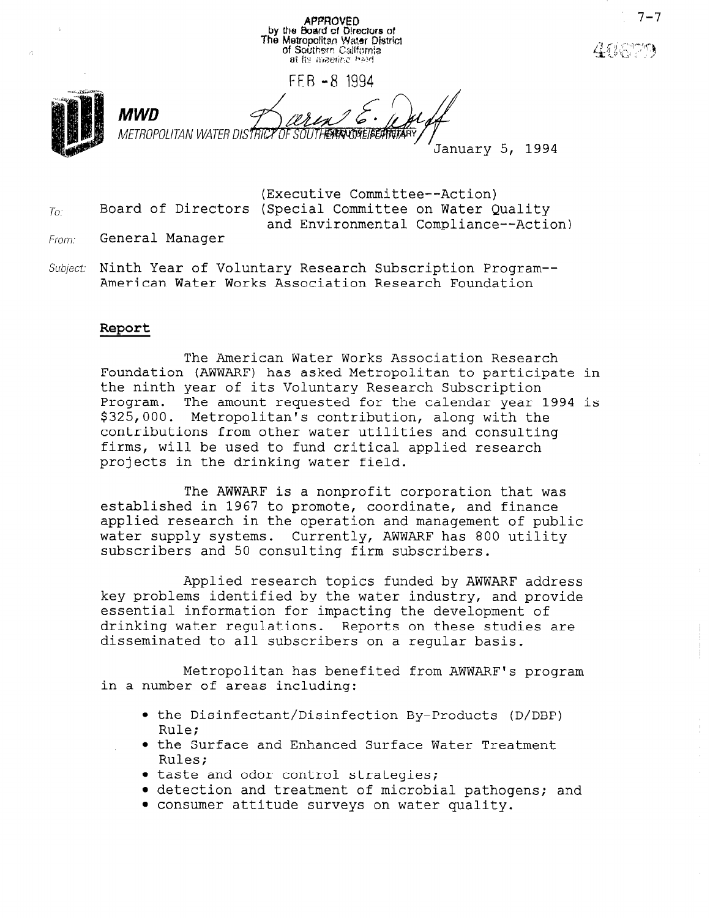**APPROVED** by the Board of Directors of<br>The Metropolitan Water District of Southern California FEB -8 1994 MWD METROPOLITAN WATER DISTRICT OF January 5, 1994

(Executive Committee--Action) Board of Directors (Special Committee on Water Quality and Environmental Compliance--Action)

From: General Manager

 $T_0$ .

Subject: Ninth Year of Voluntary Research Subscription Program--American Water Works Association Research Foundation

#### Report

The American Water Works Association Research Foundation (AWWARF) has asked Metropolitan to participate in the ninth year of its Voluntary Research Subscription Program. The amount requested for the calendar year 1994 is \$325,000. Metropolitan's contribution, along with the contributions from other water utilities and consulting firms, will be used to fund critical applied research projects in the drinking water field.

The AWWARF is a nonprofit corporation that was established in 1967 to promote, coordinate, and finance applied research in the operation and management of public water supply systems. Currently, AWWARF has 800 utility subscribers and 50 consulting firm subscribers.

Applied research topics funded by AWWARF address key problems identified by the water industry, and provide essential information for impacting the development of drinking water regulations. Reports on these studies are disseminated to all subscribers on a regular basis.

Metropolitan has benefited from AWWARF's program in a number of areas including:

- the Disinfectant/Disinfection By-Products (D/DBP) ule;<br>p.s. the Surface and Enhanced Surface Water Treatment
- ה בווח<br>רובים tates;<br>taste and one control strategies;
- detection and treatment of microbial pathogens; and microbial pathogens; and microbial pathogens; and microbia
- detection and treatment of microbial pathogens; and <br>• consumer attitude surveys on water quality.
-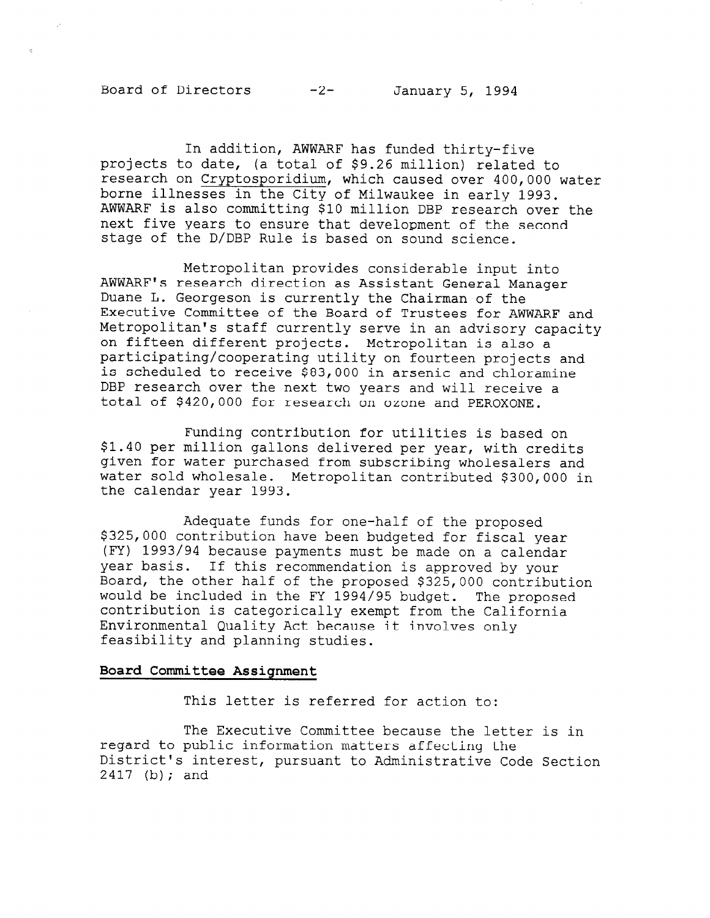# Board of Directors -2- January 5, 1994

In addition, AWWARF has funded thirty-five projects to date, (a total of \$9.26 million) related to research on Cryptosporidium, which caused over 400,000 water borne illnesses in the City of Milwaukee in early 1993. AWWARF is also committing \$10 million DBP research over the next five years to ensure that development of the second stage of the D/DBP Rule is based on sound science.

Metropolitan provides considerable input into AWWARF's research direction as Assistant General Manager Duane L. Georgeson is currently the Chairman of the Executive Committee of the Board of Trustees for AWWARF and Metropolitan's staff currently serve in an advisory capacity on fifteen different projects. Metropolitan is also a participating/cooperating utility on fourteen projects and is scheduled to receive \$83,000 in arsenic and chloramine DBP research over the next two years and will receive a total of \$420,000 for research on ozone and PEROXONE.

Funding contribution for utilities is based on \$1.40 per million gallons delivered per year, with credits given for water purchased from subscribing wholesalers and water sold wholesale. Metropolitan contributed \$300,000 in the calendar year 1993.

Adequate funds for one-half of the proposed \$325,000 contribution have been budgeted for fiscal year (FY) 1993/94 because payments must be made on a calendar year basis. If this recommendation is approved by your Board, the other half of the proposed \$325,000 contribution would be included in the FY 1994/95 budget. The proposed would be included in the fi 1994/90 budget. The prop<br>contribution is stressmiselly exempt from the Californ contribution is categorically exempt from the California<br>Environmental Quality Act because it involves only feasibility and planning studies.

#### Board Committee Assignment

This letter is referred for action to:

The Executive Committee because the letter is in regard the executive committee because the lett regard to public information matters affecting the District's interest, pursuant to Administrative Code Section<br>2417 (b); and